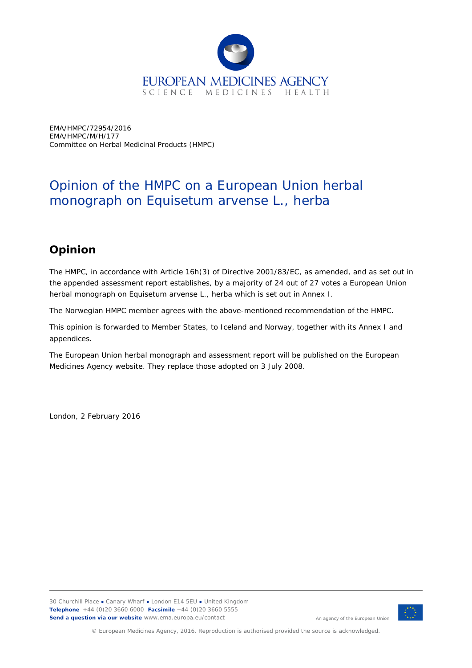

EMA/HMPC/72954/2016 EMA/HMPC/M/H/177 Committee on Herbal Medicinal Products (HMPC)

## Opinion of the HMPC on a European Union herbal monograph on *Equisetum arvense* L*.*, herba

## **Opinion**

The HMPC, in accordance with Article 16h(3) of Directive 2001/83/EC, as amended, and as set out in the appended assessment report establishes, by a majority of 24 out of 27 votes a European Union herbal monograph on *Equisetum arvense* L*.*, herba which is set out in Annex I.

The Norwegian HMPC member agrees with the above-mentioned recommendation of the HMPC.

This opinion is forwarded to Member States, to Iceland and Norway, together with its Annex I and appendices.

The European Union herbal monograph and assessment report will be published on the European Medicines Agency website. They replace those adopted on 3 July 2008.

London, 2 February 2016



An agency of the European Union

© European Medicines Agency, 2016. Reproduction is authorised provided the source is acknowledged.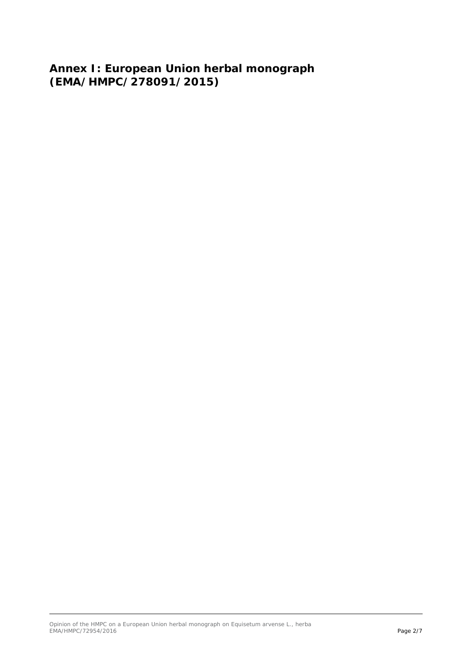**Annex I: European Union herbal monograph (EMA/HMPC/278091/2015)**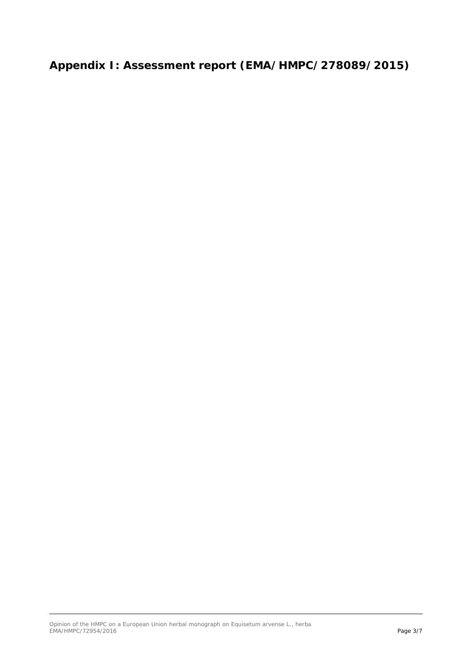**Appendix I: Assessment report (EMA/HMPC/278089/2015)**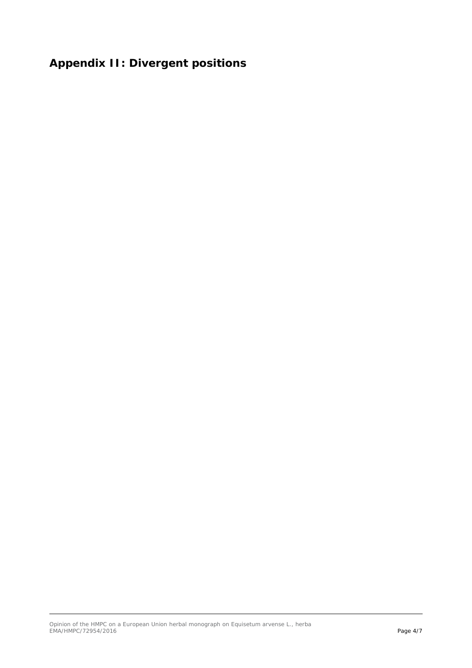## **Appendix II: Divergent positions**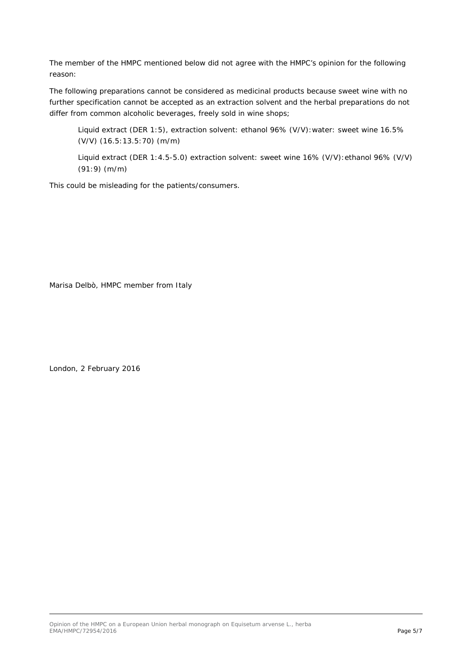The member of the HMPC mentioned below did not agree with the HMPC's opinion for the following reason:

The following preparations cannot be considered as medicinal products because sweet wine with no further specification cannot be accepted as an extraction solvent and the herbal preparations do not differ from common alcoholic beverages, freely sold in wine shops;

Liquid extract (DER 1:5), extraction solvent: ethanol 96% (V/V):water: sweet wine 16.5% (V/V) (16.5:13.5:70) (m/m)

Liquid extract (DER 1:4.5-5.0) extraction solvent: sweet wine 16% (V/V):ethanol 96% (V/V) (91:9) (m/m)

This could be misleading for the patients/consumers.

Marisa Delbò, HMPC member from Italy

London, 2 February 2016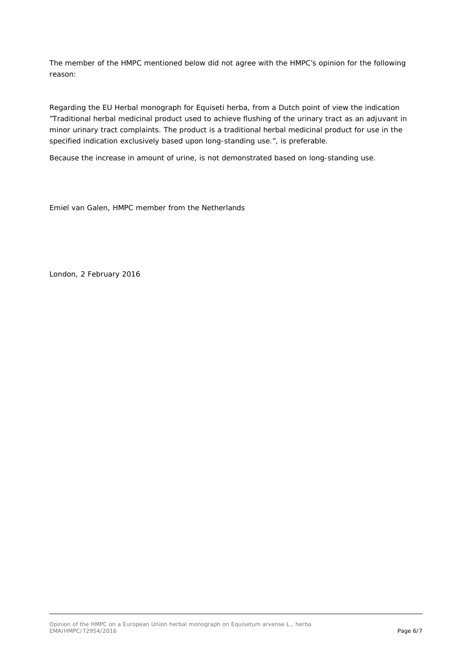The member of the HMPC mentioned below did not agree with the HMPC's opinion for the following reason:

Regarding the EU Herbal monograph for Equiseti herba, from a Dutch point of view the indication "Traditional herbal medicinal product used to achieve flushing of the urinary tract as an adjuvant in minor urinary tract complaints. The product is a traditional herbal medicinal product for use in the specified indication exclusively based upon long-standing use.", is preferable.

Because the increase in amount of urine, is not demonstrated based on long-standing use.

Emiel van Galen, HMPC member from the Netherlands

London, 2 February 2016